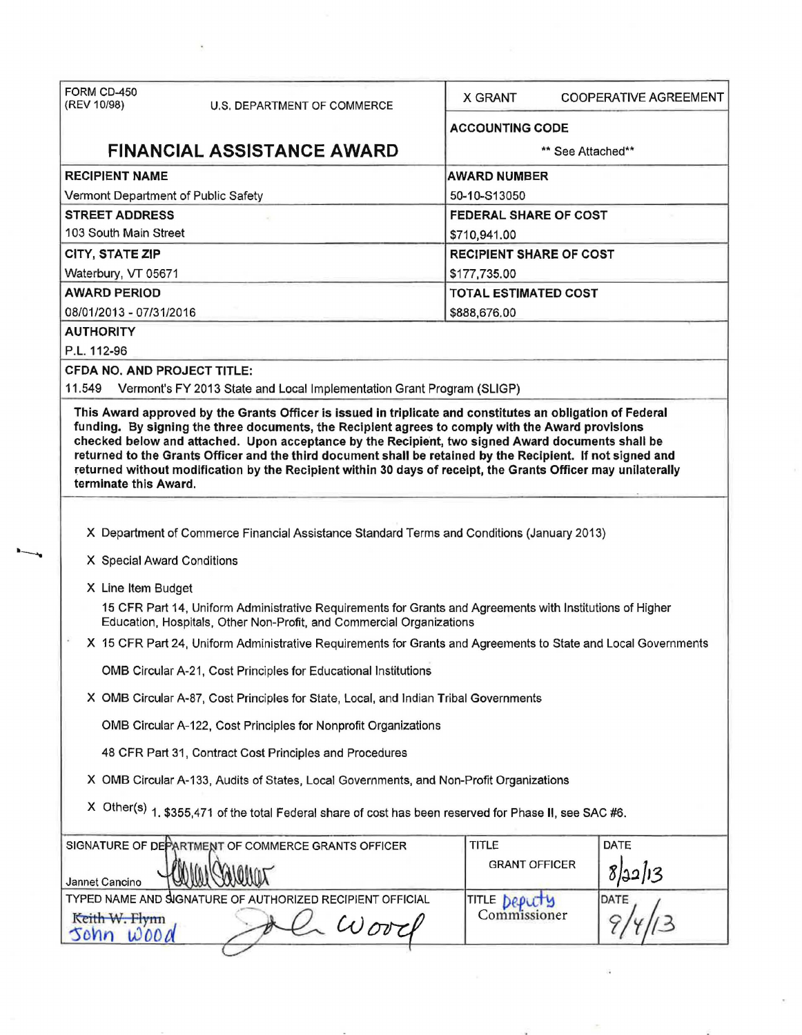| FORM CD-450<br>(REV 10/98)                                                                                                                                                        | U.S. DEPARTMENT OF COMMERCE                                                                                                                                                                                                                                                                                                       | X GRANT                        | <b>COOPERATIVE AGREEMENT</b> |  |  |
|-----------------------------------------------------------------------------------------------------------------------------------------------------------------------------------|-----------------------------------------------------------------------------------------------------------------------------------------------------------------------------------------------------------------------------------------------------------------------------------------------------------------------------------|--------------------------------|------------------------------|--|--|
|                                                                                                                                                                                   |                                                                                                                                                                                                                                                                                                                                   | <b>ACCOUNTING CODE</b>         |                              |  |  |
|                                                                                                                                                                                   | <b>FINANCIAL ASSISTANCE AWARD</b>                                                                                                                                                                                                                                                                                                 | ** See Attached**              |                              |  |  |
| <b>RECIPIENT NAME</b>                                                                                                                                                             |                                                                                                                                                                                                                                                                                                                                   | <b>AWARD NUMBER</b>            |                              |  |  |
| Vermont Department of Public Safety                                                                                                                                               |                                                                                                                                                                                                                                                                                                                                   | 50-10-S13050                   |                              |  |  |
| <b>STREET ADDRESS</b>                                                                                                                                                             |                                                                                                                                                                                                                                                                                                                                   | FEDERAL SHARE OF COST          |                              |  |  |
| 103 South Main Street                                                                                                                                                             |                                                                                                                                                                                                                                                                                                                                   | \$710,941.00                   |                              |  |  |
| CITY, STATE ZIP                                                                                                                                                                   |                                                                                                                                                                                                                                                                                                                                   | <b>RECIPIENT SHARE OF COST</b> |                              |  |  |
| Waterbury, VT 05671                                                                                                                                                               |                                                                                                                                                                                                                                                                                                                                   | \$177,735.00                   |                              |  |  |
| <b>AWARD PERIOD</b>                                                                                                                                                               |                                                                                                                                                                                                                                                                                                                                   | <b>TOTAL ESTIMATED COST</b>    |                              |  |  |
| 08/01/2013 - 07/31/2016                                                                                                                                                           |                                                                                                                                                                                                                                                                                                                                   | \$888,676.00                   |                              |  |  |
| <b>AUTHORITY</b><br>P.L. 112-96                                                                                                                                                   |                                                                                                                                                                                                                                                                                                                                   |                                |                              |  |  |
| <b>CFDA NO. AND PROJECT TITLE:</b>                                                                                                                                                |                                                                                                                                                                                                                                                                                                                                   |                                |                              |  |  |
| 11.549                                                                                                                                                                            | Vermont's FY 2013 State and Local Implementation Grant Program (SLIGP)                                                                                                                                                                                                                                                            |                                |                              |  |  |
| terminate this Award.                                                                                                                                                             | checked below and attached. Upon acceptance by the Recipient, two signed Award documents shall be<br>returned to the Grants Officer and the third document shall be retained by the Recipient. If not signed and<br>returned without modification by the Recipient within 30 days of receipt, the Grants Officer may unilaterally |                                |                              |  |  |
|                                                                                                                                                                                   |                                                                                                                                                                                                                                                                                                                                   |                                |                              |  |  |
|                                                                                                                                                                                   | X Department of Commerce Financial Assistance Standard Terms and Conditions (January 2013)                                                                                                                                                                                                                                        |                                |                              |  |  |
| X Special Award Conditions                                                                                                                                                        |                                                                                                                                                                                                                                                                                                                                   |                                |                              |  |  |
| X Line Item Budget                                                                                                                                                                |                                                                                                                                                                                                                                                                                                                                   |                                |                              |  |  |
| 15 CFR Part 14, Uniform Administrative Requirements for Grants and Agreements with Institutions of Higher<br>Education, Hospitals, Other Non-Profit, and Commercial Organizations |                                                                                                                                                                                                                                                                                                                                   |                                |                              |  |  |
| X 15 CFR Part 24, Uniform Administrative Requirements for Grants and Agreements to State and Local Governments                                                                    |                                                                                                                                                                                                                                                                                                                                   |                                |                              |  |  |
| OMB Circular A-21, Cost Principles for Educational Institutions                                                                                                                   |                                                                                                                                                                                                                                                                                                                                   |                                |                              |  |  |
| X OMB Circular A-87, Cost Principles for State, Local, and Indian Tribal Governments                                                                                              |                                                                                                                                                                                                                                                                                                                                   |                                |                              |  |  |
|                                                                                                                                                                                   | OMB Circular A-122, Cost Principles for Nonprofit Organizations                                                                                                                                                                                                                                                                   |                                |                              |  |  |
|                                                                                                                                                                                   | 48 CFR Part 31, Contract Cost Principles and Procedures                                                                                                                                                                                                                                                                           |                                |                              |  |  |
| X OMB Circular A-133, Audits of States, Local Governments, and Non-Profit Organizations                                                                                           |                                                                                                                                                                                                                                                                                                                                   |                                |                              |  |  |
|                                                                                                                                                                                   | X Other(s) 1, \$355,471 of the total Federal share of cost has been reserved for Phase II, see SAC #6.                                                                                                                                                                                                                            |                                |                              |  |  |
|                                                                                                                                                                                   | SIGNATURE OF DEPARTMENT OF COMMERCE GRANTS OFFICER                                                                                                                                                                                                                                                                                | <b>TITLE</b>                   | <b>DATE</b>                  |  |  |
| Jannet Cancino                                                                                                                                                                    |                                                                                                                                                                                                                                                                                                                                   | <b>GRANT OFFICER</b>           | 8/22/13                      |  |  |
|                                                                                                                                                                                   | TYPED NAME AND SIGNATURE OF AUTHORIZED RECIPIENT OFFICIAL                                                                                                                                                                                                                                                                         | TITLE DEPUTS                   | DATE                         |  |  |
| Keith W. Flynn<br>sonn<br>0000                                                                                                                                                    | $\omega$ ove                                                                                                                                                                                                                                                                                                                      | Commissioner                   |                              |  |  |
|                                                                                                                                                                                   |                                                                                                                                                                                                                                                                                                                                   |                                |                              |  |  |